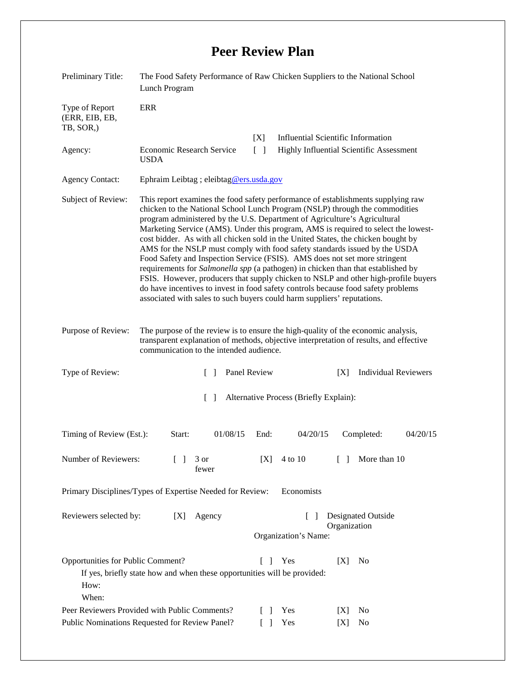## **Peer Review Plan**

| Preliminary Title:                                                                              | The Food Safety Performance of Raw Chicken Suppliers to the National School<br>Lunch Program                                                                                                                                                                                                                                                                                                                                                                                                                                                                                                                                                                                                                                                                                                                                                                                                                                  |              |                                                    |                                           |              |                             |          |
|-------------------------------------------------------------------------------------------------|-------------------------------------------------------------------------------------------------------------------------------------------------------------------------------------------------------------------------------------------------------------------------------------------------------------------------------------------------------------------------------------------------------------------------------------------------------------------------------------------------------------------------------------------------------------------------------------------------------------------------------------------------------------------------------------------------------------------------------------------------------------------------------------------------------------------------------------------------------------------------------------------------------------------------------|--------------|----------------------------------------------------|-------------------------------------------|--------------|-----------------------------|----------|
| Type of Report<br>(ERR, EIB, EB,<br>TB, SOR,)                                                   | <b>ERR</b>                                                                                                                                                                                                                                                                                                                                                                                                                                                                                                                                                                                                                                                                                                                                                                                                                                                                                                                    |              |                                                    |                                           |              |                             |          |
|                                                                                                 |                                                                                                                                                                                                                                                                                                                                                                                                                                                                                                                                                                                                                                                                                                                                                                                                                                                                                                                               |              | [X]                                                | <b>Influential Scientific Information</b> |              |                             |          |
| Agency:                                                                                         | <b>Economic Research Service</b><br><b>USDA</b>                                                                                                                                                                                                                                                                                                                                                                                                                                                                                                                                                                                                                                                                                                                                                                                                                                                                               |              | Highly Influential Scientific Assessment<br>$[\ ]$ |                                           |              |                             |          |
| <b>Agency Contact:</b>                                                                          | Ephraim Leibtag ; eleibtag@ers.usda.gov                                                                                                                                                                                                                                                                                                                                                                                                                                                                                                                                                                                                                                                                                                                                                                                                                                                                                       |              |                                                    |                                           |              |                             |          |
| Subject of Review:                                                                              | This report examines the food safety performance of establishments supplying raw<br>chicken to the National School Lunch Program (NSLP) through the commodities<br>program administered by the U.S. Department of Agriculture's Agricultural<br>Marketing Service (AMS). Under this program, AMS is required to select the lowest-<br>cost bidder. As with all chicken sold in the United States, the chicken bought by<br>AMS for the NSLP must comply with food safety standards issued by the USDA<br>Food Safety and Inspection Service (FSIS). AMS does not set more stringent<br>requirements for Salmonella spp (a pathogen) in chicken than that established by<br>FSIS. However, producers that supply chicken to NSLP and other high-profile buyers<br>do have incentives to invest in food safety controls because food safety problems<br>associated with sales to such buyers could harm suppliers' reputations. |              |                                                    |                                           |              |                             |          |
| Purpose of Review:                                                                              | The purpose of the review is to ensure the high-quality of the economic analysis,<br>transparent explanation of methods, objective interpretation of results, and effective<br>communication to the intended audience.                                                                                                                                                                                                                                                                                                                                                                                                                                                                                                                                                                                                                                                                                                        |              |                                                    |                                           |              |                             |          |
| Type of Review:                                                                                 | $\lceil$ 1                                                                                                                                                                                                                                                                                                                                                                                                                                                                                                                                                                                                                                                                                                                                                                                                                                                                                                                    | Panel Review |                                                    |                                           | [X]          | <b>Individual Reviewers</b> |          |
| $\lceil \rceil$<br>Alternative Process (Briefly Explain):                                       |                                                                                                                                                                                                                                                                                                                                                                                                                                                                                                                                                                                                                                                                                                                                                                                                                                                                                                                               |              |                                                    |                                           |              |                             |          |
| Timing of Review (Est.):                                                                        | Start:                                                                                                                                                                                                                                                                                                                                                                                                                                                                                                                                                                                                                                                                                                                                                                                                                                                                                                                        | 01/08/15     | End:                                               | 04/20/15                                  |              | Completed:                  | 04/20/15 |
| Number of Reviewers:                                                                            | 3 or<br>$\Box$<br>fewer                                                                                                                                                                                                                                                                                                                                                                                                                                                                                                                                                                                                                                                                                                                                                                                                                                                                                                       |              | [X]                                                | 4 to 10                                   | $\Box$       | More than 10                |          |
| Primary Disciplines/Types of Expertise Needed for Review:<br>Economists                         |                                                                                                                                                                                                                                                                                                                                                                                                                                                                                                                                                                                                                                                                                                                                                                                                                                                                                                                               |              |                                                    |                                           |              |                             |          |
| Reviewers selected by:                                                                          | [X]<br>Agency                                                                                                                                                                                                                                                                                                                                                                                                                                                                                                                                                                                                                                                                                                                                                                                                                                                                                                                 |              |                                                    | $\Box$<br>Organization's Name:            | Organization | <b>Designated Outside</b>   |          |
| Opportunities for Public Comment?<br>How:<br>When:                                              | If yes, briefly state how and when these opportunities will be provided:                                                                                                                                                                                                                                                                                                                                                                                                                                                                                                                                                                                                                                                                                                                                                                                                                                                      |              | $\Box$                                             | Yes                                       | [X]          | No<br>N <sub>0</sub>        |          |
| Peer Reviewers Provided with Public Comments?<br>Public Nominations Requested for Review Panel? |                                                                                                                                                                                                                                                                                                                                                                                                                                                                                                                                                                                                                                                                                                                                                                                                                                                                                                                               |              |                                                    | Yes<br>Yes                                | X <br>[X]    | No                          |          |